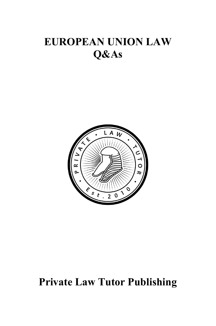# **EUROPEAN UNION LAW Q&As**



# **Private Law Tutor Publishing**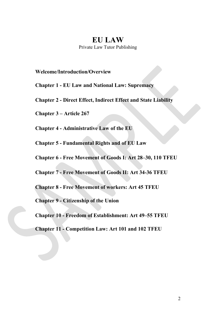### **EU LAW**

Private Law Tutor Publishing

#### **Welcome/Introduction/Overview**

**Chapter 1 - EU Law and National Law: Supremacy**

**Chapter 2 - Direct Effect, Indirect Effect and State Liability**

**Chapter 3 – Article 267**

**Chapter 4 - Administrative Law of the EU**

**Chapter 5 - Fundamental Rights and of EU Law**

**Chapter 6 - Free Movement of Goods I: Art 28–30, 110 TFEU**

**Chapter 7 - Free Movement of Goods II: Art 34-36 TFEU**

**Chapter 8 - Free Movement of workers: Art 45 TFEU**

**Chapter 9 - Citizenship of the Union** 

**Chapter 10 - Freedom of Establishment: Art 49–55 TFEU** 

**Chapter 11 - Competition Law: Art 101 and 102 TFEU**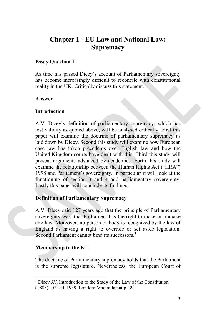# **Chapter 1 - EU Law and National Law: Supremacy**

#### **Essay Question 1**

As time has passed Dicey's account of Parliamentary sovereignty has become increasingly difficult to reconcile with constitutional reality in the UK. Critically discuss this statement.

#### **Answer**

#### **Introduction**

A.V. Dicey's definition of parliamentary supremacy, which has lost validity as quoted above, will be analysed critically. First this paper will examine the doctrine of parliamentary supremacy as laid down by Dicey. Second this study will examine how European case law has taken precedents over English law and how the United Kingdom courts have dealt with this. Third this study will present arguments advanced by academics. Forth this study will examine the relationship between the Human Rights Act ("HRA") 1998 and Parliament's sovereignty. In particular it will look at the functioning of section 3 and 4 and parliamentary sovereignty. Lastly this paper will conclude its findings.

#### **Definition of Parliamentary Supremacy**

A.V. Dicey said 127 years ago that the principle of Parliamentary sovereignty was: that Parliament has the right to make or unmake any law. Moreover, no person or body is recognized by the law of England as having a right to override or set aside legislation. Second Parliament cannot bind its successors.<sup>[1](#page-2-0)</sup>

#### **Membership to the EU**

The doctrine of Parliamentary supremacy holds that the Parliament is the supreme legislature. Nevertheless, the European Court of

<span id="page-2-0"></span> $<sup>1</sup>$  Dicey AV, Introduction to the Study of the Law of the Constitution</sup>

 $(1885)$ ,  $10^{th}$  ed, 1959, London: Macmillan at p. 39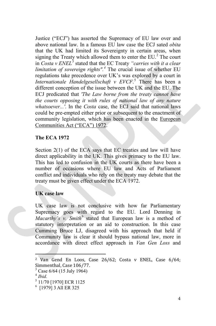Justice ("ECJ") has asserted the Supremacy of EU law over and above national law. In a famous EU law case the ECJ sated *obita* that the UK had limited its Sovereignty in certain areas, when signing the Treaty which allowed them to enter the EU. $<sup>2</sup>$  $<sup>2</sup>$  $<sup>2</sup>$  The court</sup> in *Costa v ENEL*<sup>[3](#page-3-1)</sup> stated that the EC Treaty *"carries with it a clear limitation of sovereign rights".[4](#page-3-2)* The crucial issue of whether EU regulations take precedence over UK's was explored by a court in *Internationale Handelgesellschaft v EVCF*. [5](#page-3-3) There has been a different conception of the issue between the UK and the EU. The ECJ predicated that *'The Law borne from the treaty cannot have the courts opposing it with rules of national law of any nature whatsoever...'*. In the *Costa* case, the ECJ said that national laws could be pre-empted either prior or subsequent to the enactment of community legislation, which has been enacted in the European Communities Act ("ECA") 1972.

#### **The ECA 1972**

Section 2(1) of the ECA says that EC treaties and law will have direct applicability in the UK. This gives primacy to the EU law. This has led to confusion in the UK courts as there have been a number of occasions where EU law and Acts of Parliament conflict and individuals who rely on the treaty may debate that the treaty must be given effect under the ECA 1972.

#### **UK case law**

UK case law is not conclusive with how far Parliamentary Supremacy goes with regard to the EU. Lord Denning in *Macarthy's v. Smith*<sup>[6](#page-3-4)</sup> stated that European law is a method of statutory interpretation or an aid to construction. In this case Cumming Bruce LJ, disagreed with his approach that held if Community law is clear it should bypass national law, more in accordance with direct effect approach in *Van Gen Loss* and

<span id="page-3-0"></span> <sup>2</sup> Van Gend En Loos, Case 26/62; Costa v ENEL, Case 6/64; Simmenthal, Case 106/77.

<span id="page-3-1"></span> $\frac{3}{4}$  Case 6/64 (15 July 1964)<br> $\frac{4}{4}$  *Ibid.* 

<span id="page-3-2"></span>

<span id="page-3-3"></span><sup>&</sup>lt;sup>5</sup> 11/70 [1970] ECR 1125

<span id="page-3-4"></span><sup>6</sup> [1979] 3 All ER 325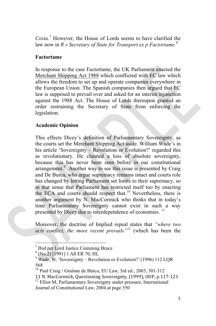*Costa*. [7](#page-4-0) However, the House of Lords seems to have clarified the law now in *R v Secretary of State for Transport ex p Factortame.*[8](#page-4-1)

#### **Factortame**

In response to the case Factortame, the UK Parliament enacted the Merchant Shipping Act 1988 which conflicted with EC law which allows the freedom to set up and operate companies everywhere in the European Union. The Spanish companies then argued that EC law is supposed to prevail over and asked for an interim injunction against the 1988 Act. The House of Lords thereupon granted an order restraining the Secretary of State from enforcing the legislation.

#### **Academic Opinion**

This effects Dicey's definition of Parliamentary Sovereignty, as the courts set the Merchant Shipping Act aside. William Wade's in his article 'Sovereignty – Revolution or Evolution?' regarded this as revolutionary. He claimed a loss of absolute sovereignty, because this has never been seen before in our constitutional arrangement.<sup>[9](#page-4-2)</sup> Another way to see this issue is presented by Craig and De Burca, who argue supremacy remains intact and courts role has changed by letting Parliament set limits to their supremacy, so in that sense that Parliament has restricted itself too by enacting the ECA and courts should respect that.<sup>[10](#page-4-3)</sup> Nevertheless, there is another argument by N. MacCormick who thinks that in today's time Parliamentary Sovereignty cannot exist in such a way presented by Dicey due to interdependence of economies.<sup>[11](#page-4-4)</sup>

Moreover, the doctrine of Implied repeal states that *"where two acts conflict, the more recent prevails"[12](#page-4-5)* (which has been the

<span id="page-4-0"></span><sup>7</sup> Ibid per Lord Justice Cumming Bruce

<span id="page-4-1"></span> $8$  (No.2) [1991] 1 All ER 70, HL

<span id="page-4-2"></span> $9 \text{ Wade}, \text{W}$ , 'Sovereignty – Revolution or Evolution?' (1996) 112 LQR 568

<span id="page-4-3"></span><sup>&</sup>lt;sup>10</sup> Paul Craig / Graínne de Búrca, EU Law, 3rd ed., 2003, 301-312

<span id="page-4-4"></span><sup>11</sup> N. MacCormick, Questioning Sovereignty, (1999), OUP, p.117-121 <sup>12</sup> Elliot M, Parliamentary Sovereignty under pressure, International

<span id="page-4-5"></span>Journal of Constitutional Law, 2004 at page 550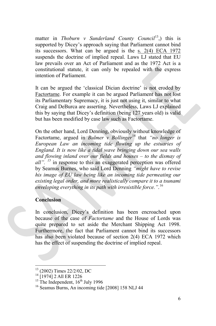matter in *Thoburn v Sunderland County Council*[13](#page-5-0),) this is supported by Dicey's approach saying that Parliament cannot bind its successors. What can be argued is the s. 2(4) ECA 1972 suspends the doctrine of implied repeal. Laws LJ stated that EU law prevails over an Act of Parliament and as the 1972 Act is a constitutional statute, it can only be repealed with the express intention of Parliament.

It can be argued the 'classical Dician doctrine' is not eroded by Factortame. For example it can be argued Parliament has not lost its Parliamentary Supremacy, it is just not using it, similar to what Craig and DeBurca are asserting. Nevertheless, Laws LJ explained this by saying that Dicey's definition (being 127 years old) is valid but has been modified by case law such as Factortame.

On the other hand, Lord Denning, obviously without knowledge of Factortame, argued in *Bulmer v Bollinger*<sup>[14](#page-5-1)</sup> that *"no longer is European Law an incoming tide flowing up the estuaries of England. It is now like a tidal wave bringing down our sea walls and flowing inland over our fields and houses – to the dismay of all*". <sup>[15](#page-5-2)</sup> in response to this an exaggerated perception was offered by Seamus Burnes, who said Lord Denning *"might have to revise his image of EU law being like an incoming tide permeating our existing legal order, and more realistically compare it to a tsunami enveloping everything in its path with irresistible force."*. [16](#page-5-3)

#### **Conclusion**

In conclusion, Dicey's definition has been encroached upon because of the case of *Factortame* and the House of Lords was quite prepared to set aside the Merchant Shipping Act 1998. Furthermore, the fact that Parliament cannot bind its successors has also been violated because of section 2(4) ECA 1972 which has the effect of suspending the doctrine of implied repeal.

<span id="page-5-1"></span>

<span id="page-5-3"></span><span id="page-5-2"></span>

<span id="page-5-0"></span><sup>&</sup>lt;sup>13</sup> (2002) Times 22/2/02, DC<br><sup>14</sup> [1974] 2 All ER 1226<br><sup>15</sup> The Independent, 16<sup>th</sup> July 1996<br><sup>16</sup> Seamus Burns, An incoming tide [2008] 158 NLJ 44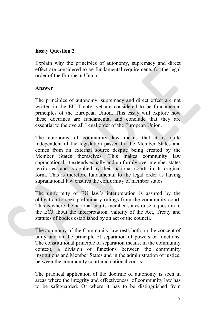#### **Essay Question 2**

Explain why the principles of autonomy, supremacy and direct effect are considered to be fundamental requirements for the legal order of the European Union.

#### **Answer**

The principles of autonomy, supremacy and direct effect are not written in the EU Treaty, yet are considered to be fundamental principles of the European Union. This essay will explore how these doctrines are fundamental and conclude that they are essential to the overall Legal order of the European Union.

The autonomy of community law means that it is quite independent of the legislation passed by the Member States and comes from an external source despite being created by the Member States themselves. This makes community law supranational; it extends equally and uniformly over member states territories, and is applied by their national courts in its original form. This is therefore fundamental to the legal order as having supranational law ensures the conformity of member states.

The uniformity of EU law's interpretation is assured by the obligation to seek preliminary rulings from the community court. This is where the national courts member states raise a question to the ECJ about the interpretation, validity of the Act, Treaty and statutes of bodies established by an act of the council.

The autonomy of the Community law rests both on the concept of unity and on the principle of separation of powers or functions. The constitutional principle of separation means, in the community context, a division of functions between the community institutions and Member States and in the administration of justice, between the community court and national courts.

The practical application of the doctrine of autonomy is seen in areas where the integrity and effectiveness of community law has to be safeguarded. Or where it has to be distinguished from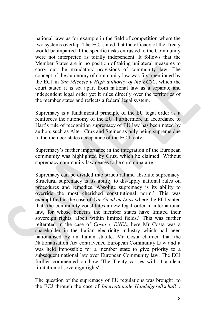national laws as for example in the field of competition where the two systems overlap. The ECJ stated that the efficacy of the Treaty would be impaired if the specific tasks entrusted to the Community were not interpreted as totally independent. It follows that the Member States are in no position of taking unilateral measures to carry out the mandatory provisions of community law. The concept of the autonomy of community law was first mentioned by the ECJ in *San Michele v High authority of the ECSC*, which the court stated it is set apart from national law as a separate and independent legal order yet it rules directly over the territories of the member states and reflects a federal legal system.

Supremacy is a fundamental principle of the EU legal order as it reinforces the autonomy of the EU. Furthermore in accordance to Hart's rule of recognition supremacy of EU law has been noted by authors such as Alter, Cruz and Steiner as only being supreme due to the member states acceptance of the EC Treaty.

Supremacy's further importance in the integration of the European community was highlighted by Cruz, which he claimed 'Without supremacy community law ceases to be communataire.

Supremacy can be divided into structural and absolute supremacy. Structural supremacy is its ability to dis-apply national rules on procedures and remedies. Absolute supremacy is its ability to override the most cherished constitutional norm.' This was exemplified in the case of *Van Gend en Loos* where the ECJ stated that 'the community constitutes a new legal order in international law, for whose benefits the member states have limited their sovereign rights, albeit within limited fields.' This was further reiterated in the case of *Costa v ENEL*, here Mr Costa was a shareholder in the Italian electricity industry which had been nationalised by an Italian statute. Mr Costa claimed that the Nationalisation Act contravened European Community Law and it was held impossible for a member state to give priority to a subsequent national law over European Community law. The ECJ further commented on how 'The Treaty carries with it a clear limitation of sovereign rights'.

The question of the supremacy of EU regulations was brought to the ECJ through the case of *Internationale Handelgesellschaft v*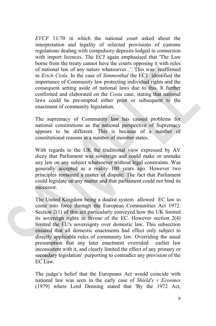*EVCF* 11/70 in which the national court asked about the interpretation and legality of selected provisions of customs regulations dealing with compulsory deposits lodged in connection with import licences. The ECJ again emphasised that 'The Law borne from the treaty cannot have the courts opposing it with rules of national law of any nature whatsoever...'. This was reaffirmed in *Erich Ciola*. In the case of *Simmenthal* the ECJ identified the importance of Community law protecting individual rights and the consequent setting aside of national laws due to this. It further confirmed and elaborated on the *Costa* case, stating that national laws could be pre-empted either prior or subsequent to the enactment of community legislation.

The supremacy of Community law has caused problems for national constitutions as the national perspective of Supremacy appears to be different. This is because of a number of constitutional reasons in a number of member states.

With regards to the UK the traditional view expressed by AV dicey that Parliament was sovereign and could make or unmake any law on any subject whatsoever without legal constraints. Was generally accepted as a reality 100 years ago. However two principles remained a matter of dispute: The fact that Parliament could legislate on any matter and that parliament could not bind its successor.

The United Kingdom being a dualist system allowed EC law to come into force through the European Communities Act 1972. Section 2(1) of this act particularly conveyed how the UK limited its sovereign rights in favour of the EC. However section 2(4) limited the EU's sovereignty over domestic law. This subsection ensured that all domestic enactments had effect only subject to directly applicable rules of community law. Overriding the usual presumption that any later enactment overruled earlier law inconsistent with it, and clearly limited the effect of any primary or secondary legislation' purporting to contradict any provision of the EC Law.

The judge's belief that the Europeans Act would coincide with national law was seen in the early case of *Shield's v Ecoomes*  (1979) where Lord Denning stated that 'By the 1972 Act,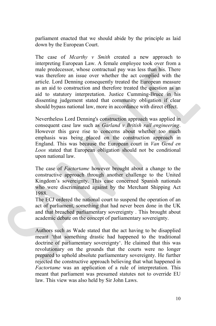parliament enacted that we should abide by the principle as laid down by the European Court.

The case of *Mcarthy v Smith* created a new approach to interpreting European Law. A female employee took over from a male predecessor, whose contractual pay was less than his. There was therefore an issue over whether the act complied with the article. Lord Denning consequently treated the European measure as an aid to construction and therefore treated the question as an aid to statutory interpretation. Justice Cumming-Bruce in his dissenting judgement stated that community obligation if clear should bypass national law, more in accordance with direct effect.

Nevertheless Lord Denning's construction approach was applied in consequent case law such as *Garland v British rail engineering*. However this gave rise to concerns about whether too much emphasis was being placed on the construction approach in England. This was because the European court in *Van Gend en Loos* stated that European obligation should not be conditional upon national law.

The case of *Factortame* however brought about a change to the constructive approach through another challenge to the United Kingdom's sovereignty. This case concerned Spanish nationals who were discriminated against by the Merchant Shipping Act 1988.

The ECJ ordered the national court to suspend the operation of an act of parliament, something that had never been done in the UK and that breached parliamentary sovereignty . This brought about academic debate on the concept of parliamentary sovereignty.

Authors such as Wade stated that the act having to be disapplied meant 'that something drastic had happened to the traditional doctrine of parliamentary sovereignty'. He claimed that this was revolutionary on the grounds that the courts were no longer prepared to uphold absolute parliamentary sovereignty. He further rejected the constructive approach believing that what happened in *Factortame* was an application of a rule of interpretation. This meant that parliament was presumed statutes not to override EU law. This view was also held by Sir John Laws.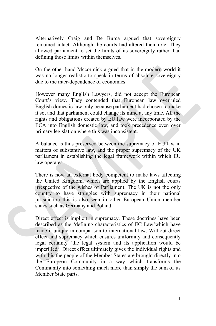Alternatively Craig and De Burca argued that sovereignty remained intact. Although the courts had altered their role. They allowed parliament to set the limits of its sovereignty rather than defining those limits within themselves.

On the other hand Mccormick argued that in the modern world it was no longer realistic to speak in terms of absolute sovereignty due to the inter-dependence of economies.

However many English Lawyers, did not accept the European Court's view. They contended that European law overruled English domestic law only because parliament had chosen to make it so, and that parliament could change its mind at any time. All the rights and obligations created by EU law were incorporated by the ECA into English domestic law, and took precedence even over primary legislation where this was inconsistent.

A balance is thus preserved between the supremacy of EU law in matters of substantive law, and the proper supremacy of the UK parliament in establishing the legal framework within which EU law operates.

There is now an external body competent to make laws affecting the United Kingdom, which are applied by the English courts irrespective of the wishes of Parliament. The UK is not the only country to have struggles with supremacy in their national jurisdiction this is also seen in other European Union member states such as Germany and Poland.

Direct effect is implicit in supremacy. These doctrines have been described as the 'defining characteristics of EC Law'which have made it unique in comparison to international law. Without direct effect and supremacy which ensures uniformity and consequently legal certainty 'the legal system and its application would be imperilled'. Direct effect ultimately gives the individual rights and with this the people of the Member States are brought directly into the European Community in a way which transforms the Community into something much more than simply the sum of its Member State parts.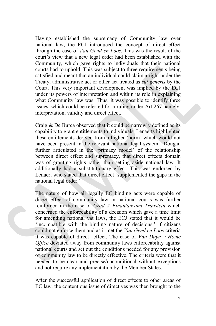Having established the supremacy of Community law over national law, the ECJ introduced the concept of direct effect through the case of *Van Gend en Loos*. This was the result of the court's view that a new legal order had been established with the Community, which gave rights to individuals that their national courts had to uphold. This was subject to three requirements being satisfied and meant that an individual could claim a right under the Treaty, administrative act or other act treated as *sui generis* by the Court. This very important development was implied by the ECJ under its powers of interpretation and within its role in explaining what Community law was. Thus, it was possible to identify three issues, which could be referred for a ruling under Art 267 namely, interpretation, validity and direct effect.

Craig & De Burca observed that it could be narrowly defined as its capability to grant entitlements to individuals. Lenaerts highlighted these entitlements derived from a higher 'norm' which would not have been present in the relevant national legal system. Dougan further articulated in the 'primacy model' of the relationship between direct effect and supremacy, that direct effects domain was of granting rights rather than setting aside national law. It additionally had a substitutionary effect. This was endorsed by Lenaert who stated that direct effect 'supplemented the gaps in the national legal order.'

The nature of how all legally EC binding acts were capable of direct effect of community law in national courts was further reinforced in the case of *Grad V Finantanzamt Traustein* which concerned the enforceability of a decision which gave a time limit for amending national vat laws, the ECJ stated that it would be 'incompatible with the binding nature of decisions.' if citizens could not enforce them and as it met the *Van Gend en Loos* criteria it was capable of direct effect. The case of *Van Duyn v Home Office* deviated away from community laws enforceability against national courts and set out the conditions needed for any provision of community law to be directly effective. The criteria were that it needed to be clear and precise/unconditional without exceptions and not require any implementation by the Member States.

After the successful application of direct effects to other areas of EC law, the contentious issue of directives was then brought to the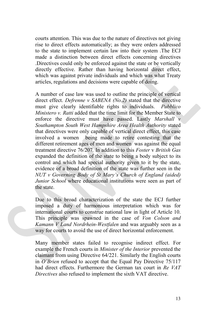courts attention. This was due to the nature of directives not giving rise to direct effects automatically; as they were orders addressed to the state to implement certain law into their system .The ECJ made a distinction between direct effects concerning directives .Directives could only be enforced against the state or be vertically directly effective. Rather than having horizontal direct effect, which was against private individuals and which was what Treaty articles, regulations and decisions were capable of doing.

A number of case law was used to outline the principle of vertical direct effect. *Defrenne v SABENA (No.2)* stated that the directive must give clearly identifiable rights to individuals. *Pubblico Ministero v. Ratti* added that the time limit for the Member State to enforce the directive must have passed. Lastly *Marshall v Southampton South West Hampshire Area Health Authority* stated that directives were only capable of vertical direct effect, this case involved a women being made to retire contesting that the different retirement ages of men and women was against the equal treatment directive 76/207*.* In addition to this *Foster* v *British Gas*  expanded the definition of the state to being a body subject to its control and which had special authority given to it by the state, evidence of a broad definition of the state was further seen in the *NUT v Governing Body of St Mary's Church of England (aided) Junior School* where educational institutions were seen as part of the state.

Due to this broad characterization of the state the ECJ further imposed a duty of harmonious interpretation which was for international courts to construe national law in light of Article 10. This principle was spawned in the case of *Von Colson and Kamann V Land Nordrhein-Westfalen* and was arguably seen as a way for courts to avoid the use of direct horizontal enforcement.

Many member states failed to recognise indirect effect. For example the French courts in *Minister of the Interior* prevented the claimant from using Directive 64/221. Similarly the English courts in *O'Brien* refused to accept that the Equal Pay Directive 75/117 had direct effects. Furthermore the German tax court in *Re VAT Directives* also refused to implement the sixth VAT directive.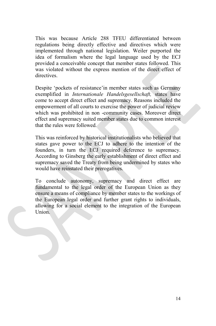This was because Article 288 TFEU differentiated between regulations being directly effective and directives which were implemented through national legislation. Weiler purported the idea of formalism where the legal language used by the ECJ provided a conceivable concept that member states followed. This was violated without the express mention of the direct effect of directives.

Despite 'pockets of resistance'in member states such as Germany exemplified in *Internationale Handelsgesellschaft,* states have come to accept direct effect and supremacy. Reasons included the empowerment of all courts to exercise the power of judicial review which was prohibited in non -community cases. Moreover direct effect and supremacy suited member states due to common interest that the rules were followed.

This was reinforced by historical institutionalists who believed that states gave power to the ECJ to adhere to the intention of the founders, in turn the ECJ required deference to supremacy. According to Ginsberg the early establishment of direct effect and supremacy saved the Treaty from being undermined by states who would have reinstated their prerogatives.

To conclude autonomy, supremacy and direct effect are fundamental to the legal order of the European Union as they ensure a means of compliance by member states to the workings of the European legal order and further grant rights to individuals, allowing for a social element to the integration of the European Union.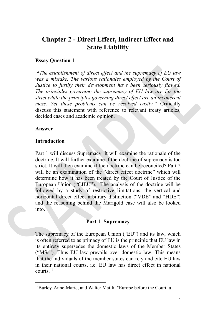## **Chapter 2 - Direct Effect, Indirect Effect and State Liability**

#### **Essay Question 1**

**"***The establishment of direct effect and the supremacy of EU law was a mistake. The various rationales employed by the Court of Justice to justify their development have been seriously flawed. The principles governing the supremacy of EU law are far too strict while the principles governing direct effect are an incoherent mess. Yet these problems can be resolved easily."* Critically discuss this statement with reference to relevant treaty articles, decided cases and academic opinion.

#### **Answer**

#### **Introduction**

Part 1 will discuss Supremacy. It will examine the rationale of the doctrine. It will further examine if the doctrine of supremacy is too strict. It will then examine if the doctrine can be reconciled? Part 2 will be an examination of the "direct effect doctrine" which will determine how it has been treated by the Court of Justice of the European Union ("CJEU"). The analysis of the doctrine will be followed by a study of restrictive limitations, the vertical and horizontal direct effect arbitrary distinction ("VDE" and "HDE") and the reasoning behind the Marigold case will also be looked into.

#### **Part 1- Supremacy**

The supremacy of the European Union ("EU") and its law, which is often referred to as primacy of EU is the principle that EU law in its entirety supersedes the domestic laws of the Member States ("MSs"). Thus EU law prevails over domestic law. This means that the individuals of the member states can rely and cite EU law in their national courts, i.e. EU law has direct effect in national courts.[17](#page-14-0)

<span id="page-14-0"></span><sup>&</sup>lt;sup>17</sup>Burley, Anne-Marie, and Walter Mattli. "Europe before the Court: a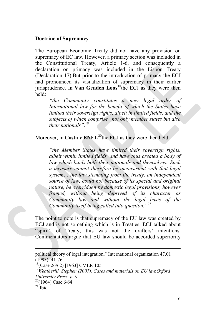#### **Doctrine of Supremacy**

The European Economic Treaty did not have any provision on supremacy of EC law. However, a primacy section was included in the Constitutional Treaty, Article 1-6, and consequently a declaration on primacy was included in the Lisbon Treaty (Declaration 17).But prior to the introduction of primacy the ECJ had pronounced its visualization of supremacy in their earlier jurisprudence. In **Van Genden Loos**<sup>[18](#page-15-0)</sup>the ECJ as they were then held:

*"the Community constitutes a new legal order of International law for the benefit of which the States have limited their sovereign rights, albeit in limited fields, and the subjects of which comprise not only member states but also their nationals"*. [19](#page-15-1)

Moreover, in **Costa v ENEL**<sup>[20](#page-15-2)</sup>the ECJ as they were then held:

*"the Member States have limited their sovereign rights, albeit within limited fields, and have thus created a body of law which binds both their nationals and themselves...Such a measure cannot therefore be inconsistent with that legal system… the law stemming from the treaty, an independent source of law, could not because of its special and original nature, be overridden by domestic legal provisions, however framed, without being deprived of its character as Community law and without the legal basis of the Community itself being called into question."[21](#page-15-3)*

The point to note is that supremacy of the EU law was created by ECJ and is not something which is in Treaties. ECJ talked about "spirit" of Treaty, this was not the drafters' intentions. Commentators argue that EU law should be accorded superiority

political theory of legal integration." International organization 47.01 (1993): 41-76.<br><sup>18</sup>(Case 26/62) [1963] CMLR 105

<span id="page-15-0"></span>

<span id="page-15-1"></span><sup>19</sup>*Weatherill, Stephen (2007). Cases and materials on EU law.Oxford* 

<span id="page-15-2"></span>*University Press. p. 9*<br><sup>20</sup>(1964) Case 6/64

<span id="page-15-3"></span> $^{21}$  Ibid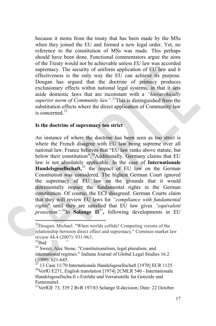because it stems from the treaty that has been made by the MSs when they joined the EU and formed a new legal order. Yet, no reference to the constitution of MSs was made. This perhaps should have been done. Functional commentators argue the aims of the Treaty would not be achievable unless EU law was accorded supremacy. The security of uniform application of EU law and it effectiveness is the only way the EU can achieve its purpose. Dougan has argued that the doctrine of primacy produces exclusionary effects within national legal systems, in that it sets aside domestic laws that are inconstant with a *"hierarchically superior norm of Community law".[22](#page-16-0)*This is distinguished from the substitution effects where the direct application of Community law is concerned. $^{23}$  $^{23}$  $^{23}$ 

#### **Is the doctrine of supremacy too strict**

An instance of where the doctrine has been seen as too strict is where the French disagree with EU law being supreme over all national law. France believes that "EU law ranks above statute, but below their constitution".<sup>24</sup>Additionally, Germany claims that EU law is not absolutely applicable. In the case of **Internationale Handelsgesellschaft,**[25](#page-16-3) the impact of EU law on the German Constitution was considered. The highest German Court ignored the supremacy of EU law on the grounds that it would detrimentally impact the fundamental rights in the German constitution. Of course, the ECJ disagreed. German Courts claim that they will review EU laws for *"compliance with fundamental rights*" until they are satisfied that EU law gives *"equivalent protection*".<sup>26</sup>In Solange  $\mathbf{II}^{27}$  $\mathbf{II}^{27}$  $\mathbf{II}^{27}$ , following developments in EU

<span id="page-16-0"></span> $^{22}$ Dougan, Michael. "When worlds collide! Competing visions of the relationship between direct effect and supremacy." Common market law review 44.4 (2007): 931-963.<br><sup>23</sup>Ibid

<span id="page-16-2"></span><span id="page-16-1"></span><sup>&</sup>lt;sup>24</sup> Sweet, Alec Stone. "Constitutionalism, legal pluralism, and international regimes." Indiana Journal of Global Legal Studies 16.2

<span id="page-16-4"></span><span id="page-16-3"></span> $^{25}$  13 Case 11/70 Internationale Handelsgesellschaft [1970] ECR 1125<br><sup>26</sup>VerfG E271, English translation [1974] 2CMLR 540 - Internationale Handelsgesellscha.fi v.Einfuhr und Vorratsstelle fur Getreide und Futtermittel.

<span id="page-16-5"></span><sup>&</sup>lt;sup>27</sup>VerfGE 73, 339 2 BvR 197/83 Solange II-decision; Date: 22 October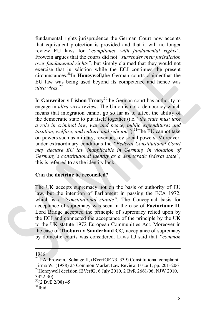fundamental rights jurisprudence the German Court now accepts that equivalent protection is provided and that it will no longer review EU laws for *"compliance with fundamental rights".*  Frowein argues that the courts did not *"surrender their jurisdiction over fundamental rights",* but simply claimed that they would not exercise that jurisdiction while the ECJ continues the present circumstances.[28](#page-17-0)In **Honeywell,**the German courts claimedthat the EU law was being used beyond its competence and hence was *ultra vires.*[29](#page-17-1)

In **Gauweiler v Lisbon Treaty**<sup>[30](#page-17-2)</sup>the German court has authority to engage in *ultra vires* review. The Union is not a democracy which means that integration cannot go so far as to affect the ability of the democratic state to put itself together (i.e. "*the state must take a role in criminal law, war and peace, public expenditures and taxation, welfare, and culture and religion"*).[31](#page-17-3)The EU cannot take on powers such as military, revenue, key social powers. Moreover, under extraordinary conditions the *"Federal Constitutional Court may declare EU law inapplicable in Germany in violation of Germany's constitutional identity as a democratic federal state"*, this is referred to as the identity lock.

#### **Can the doctrine be reconciled?**

The UK accepts supremacy not on the basis of authority of EU law, but the intention of Parliament in passing the ECA 1972, which is a *"constitutional statute".* The Conceptual basis for acceptance of supremacy was seen in the case of **Factortame II***.*  Lord Bridge accepted the principle of supremacy relied upon by the ECJ and connected the acceptance of the principle by the UK to the UK statute 1972 European Communities Act. Moreover in the case of **Thoburn v Sunderland CC***,* acceptance of supremacy by domestic courts was considered. Laws LJ said that *"common* 

1986

<span id="page-17-1"></span><span id="page-17-0"></span><sup>&</sup>lt;sup>28</sup> J.A. Frowein, 'Solange II, (BVerfGE 73, 339) Constitutional complaint Firma W.' (1988) 25 Common Market Law Review, Issue 1, pp. 201–206  $^{29}$ Honeywell decision.(BVerfG, 6 July 2010, 2 BvR 2661/06, NJW 2010,  $3422-30$ ).<br> $30(2 \text{ BvE } 2/08)$  45

<span id="page-17-3"></span><span id="page-17-2"></span> $31$ Ibid.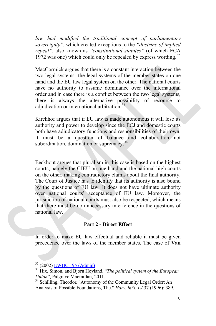*law had modified the traditional concept of parliamentary sovereignty"*, which created exceptions to the *"doctrine of implied repeal"*, also known as *"constitutional statutes"* (of which ECA 1972 was one) which could only be repealed by express wording. $32$ 

MacCormick argues that there is a constant interaction between the two legal systems- the legal systems of the member states on one hand and the EU law legal system on the other. The national courts have no authority to assume dominance over the international order and in case there is a conflict between the two legal systems, there is always the alternative possibility of recourse to adjudication or international arbitration.<sup>[33](#page-18-1)</sup>

Kirchhof argues that if EU law is made autonomous it will lose its authority and power to develop since the ECJ and domestic courts both have adjudicatory functions and responsibilities of their own, it must be a question of balance and collaboration not subordination, domination or supremacy.<sup>[34](#page-18-2)</sup>

Eeckhout argues that pluralism in this case is based on the highest courts, namely the CJEU on one hand and the national high courts on the other, making contradictory claims about the final authority. The Court of Justice has to identify that its authority is also bound by the questions of EU law. It does not have ultimate authority over national courts' acceptance of EU law. Moreover, the jurisdiction of national courts must also be respected, which means that there must be no unnecessary interference in the questions of national law.

#### **Part 2 - Direct Effect**

In order to make EU law effectual and reliable it must be given precedence over the laws of the member states. The case of **Van** 

<span id="page-18-1"></span>

<span id="page-18-0"></span><sup>32</sup> (2002) [EWHC 195 \(Admin\)](http://www.bailii.org/ew/cases/EWHC/Admin/2002/195.html) <sup>33</sup> Hix, Simon, and Bjorn Hoyland, "*The political system of the European Union*", Palgrave Macmillan, 2011.<br><sup>34</sup> Schilling, Theodor. "Autonomy of the Community Legal Order: An

<span id="page-18-2"></span>Analysis of Possible Foundations, The." *Harv. Int'l. LJ* 37 (1996): 389.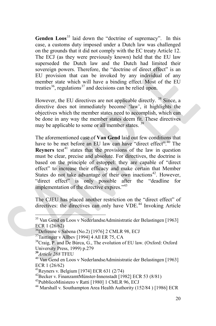**Genden Loos**<sup>[35](#page-19-0)</sup> laid down the "doctrine of supremacy". In this case, a customs duty imposed under a Dutch law was challenged on the grounds that it did not comply with the EC treaty Article 12. The ECJ (as they were previously known) held that the EU law superseded the Dutch law and the Dutch had limited their sovereign powers. Therefore, the "doctrine of direct effect" is an EU provision that can be invoked by any individual of any member state which will have a binding effect. Most of the EU treaties<sup>[36](#page-19-1)</sup>, regulations<sup>[37](#page-19-2)</sup> and decisions can be relied upon.

However, the EU directives are not applicable directly. <sup>[38](#page-19-3)</sup> Since, a directive does not immediately become 'law', it highlights the objectives which the member states need to accomplish, which can be done in any way the member states deem fit. These directives may be applicable to some or all member states. <sup>[39](#page-19-4)</sup>

The aforementioned case of **Van Gend** laid out few conditions that have to be met before an EU law can have "direct effect".<sup>[40](#page-19-5)</sup> The **Reyners** test<sup>[41](#page-19-6)</sup> states that the provisions of the law in question must be clear, precise and absolute. For directives, the doctrine is based on the principle of estoppel: they are capable of "direct effect" to increase their efficacy and make certain that Member States do not take advantage of their own inactions<sup>[42](#page-19-7)</sup>. However, "direct effect" is only possible after the "deadline for implementation of the directive expires."<sup>[43](#page-19-8)</sup>

The CJEU has placed another restriction on the "direct effect" of directives: the directives can only have VDE.<sup>[44](#page-19-9)</sup> Invoking Article

<span id="page-19-0"></span><sup>&</sup>lt;sup>35</sup> Van Gend en Loos v NederlandseAdministratie der Belastingen [1963] ECR 1 (26/62)

<span id="page-19-1"></span> $36$ Defrenne v Sabena (No.2) [1976] 2 CMLR 98, ECJ

 $37$ Taittinger v Allbev [1994] 4 All ER 75, CA

<span id="page-19-3"></span><span id="page-19-2"></span><sup>&</sup>lt;sup>38</sup>Craig, P. and De Búrca, G., The evolution of EU law. (Oxford: Oxford University Press, 1999) p.279<br><sup>39</sup>Article 288 TFEU

<span id="page-19-4"></span>

<span id="page-19-5"></span><sup>&</sup>lt;sup>40</sup> Van Gend en Loos v NederlandseAdministratie der Belastingen [1963] ECR 1 (26/62)

<span id="page-19-6"></span> $^{41}$ Reyners v. Belgium [1974] ECR 631 (2/74)

<span id="page-19-8"></span><span id="page-19-7"></span><sup>&</sup>lt;sup>42</sup>Becker v. FinanzamtMünster-Innenstadt [1982] ECR 53 (8/81)  $^{43}$ PubblicoMinistero v Ratti [1980] 1 CMLR 96, ECJ

<span id="page-19-9"></span><sup>&</sup>lt;sup>44</sup> Marshall v. Southampton Area Health Authority (152/84) [1986] ECR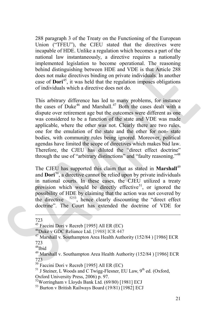288 paragraph 3 of the Treaty on the Functioning of the European Union ("TFEU"), the CJEU stated that the directives were incapable of HDE. Unlike a regulation which becomes a part of the national law instantaneously, a directive requires a nationally implemented legislation to become operational. The reasoning behind distinguishing between HDE and VDE is that Article 288 does not make directives binding on private individuals. In another case of **Dori**[45,](#page-20-0) it was held that the regulation imposes obligations of individuals which a directive does not do.

This arbitrary difference has led to many problems, for instance the cases of Duke<sup>[46](#page-20-1)</sup> and Marshall.<sup>[47](#page-20-2)</sup> Both the cases dealt with a dispute over retirement age but the outcomes were different as one was considered to be a function of the state and VDE was made applicable, where the other was not. Clearly there are two rules, one for the emulation of the state and the other for non- state bodies, with community rules being ignored. Moreover, political agendas have limited the scope of directives which makes bad law. Therefore, the CJEU has diluted the "direct effect doctrine" through the use of "arbitrary distinctions" and "faulty reasoning."<sup>[48](#page-20-3)</sup>

The CJEU has supported this claim that as stated in **Marshall**<sup>[49](#page-20-4)</sup> and **Dori**[50,](#page-20-5) a directive cannot be relied upon by private individuals in national courts. In these cases, the CJEU utilized a treaty provision which would be directly effective<sup>[51](#page-20-6)</sup>, or ignored the possibility of HDE by claiming that the action was not covered by the directive <sup>[52](#page-20-7)[53](#page-20-8)</sup>, hence clearly discounting the "direct effect doctrine". The Court has extended the doctrine of VDE for

723<br><sup>45</sup> Faccini Dori v Recreb [1995] All ER (EC)

<span id="page-20-2"></span><span id="page-20-1"></span><span id="page-20-0"></span><sup>46</sup> Duke v GDC Reliance Ltd. [1988] ICR 447<br><sup>47</sup> Marshall v. Southampton Area Health Authority (152/84 ) [1986] ECR 723

<span id="page-20-3"></span>48Ibid

<span id="page-20-4"></span><sup>49</sup> Marshall v. Southampton Area Health Authority (152/84) [1986] ECR 723<br><sup>50</sup> Faccini Dori v Recreb [1995] All ER (EC)

<span id="page-20-6"></span><span id="page-20-5"></span><sup>51</sup> J Steiner, L Woods and C Twigg-Flesner, EU Law, 9<sup>th</sup> ed. (Oxford,

<span id="page-20-7"></span>

Oxford University Press, 2006) p. 97.<br><sup>52</sup>Worringham v Lloyds Bank Ltd. (69/80) [1981] ECJ

<span id="page-20-8"></span>53 Burton v British Railways Board (19/81) [1982] ECJ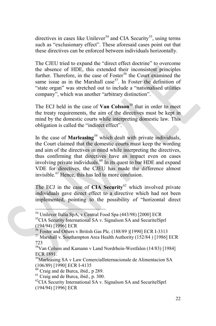directives in cases like Unilever<sup>[54](#page-21-0)</sup> and CIA Security<sup>55</sup>, using terms such as "exclusionary effect". These aforesaid cases point out that these directives can be enforced between individuals horizontally.

The CJEU tried to expand the "direct effect doctrine" to overcome the absence of HDE, this extended their inconsistent principles further. Therefore, in the case of Foster<sup>[56](#page-21-2)</sup> the Court examined the same issue as in the Marshall case<sup>57</sup>. In Foster the definition of "state organ" was stretched out to include a "nationalised utilities company", which was another "arbitrary distinction".

The ECJ held in the case of **Van Colsson**<sup>[58](#page-21-4)</sup> that in order to meet the treaty requirements, the aim of the directives must be kept in mind by the domestic courts while interpreting domestic law. This obligation is called the "indirect effect".

In the case of **Marleasing**<sup>[59](#page-21-5)</sup> which dealt with private individuals, the Court claimed that the domestic courts must keep the wording and aim of the directives in mind while interpreting the directives, thus confirming that directives have an impact even on cases involving private individuals.<sup>[60](#page-21-6)</sup> In its quest to bar HDE and expand VDE for directives, the CJEU has made the difference almost invisible.<sup>[61](#page-21-7)</sup> Hence, this has led to more confusion.

The ECJ in the case of **CIA Security**[62](#page-21-8) which involved private individuals gave direct effect to a directive which had not been implemented, pointing to the possibility of "horizontal direct

<span id="page-21-1"></span><span id="page-21-0"></span><sup>&</sup>lt;sup>54</sup> Unilever Italia SpA, v Central Food Spa (443/98) [2000] ECR<br><sup>55</sup>CIA Security International SA v. Signalson SA and SecuritelSprl (194/94) [1996] ECR<br><sup>56</sup> Foster and Others v British Gas Plc. (188/89 )[1990] ECR I-3313

<span id="page-21-3"></span><span id="page-21-2"></span> $57$  Marshall v. Southampton Area Health Authority (152/84 ) [1986] ECR 723

<span id="page-21-4"></span><sup>58</sup>Van Colson and Kamann v Land Nordrhein-Westfalen (14/83) [1984] ECR 1891.

<span id="page-21-5"></span><sup>59</sup>Marleasing SA v Law ComercialInternacionale de Alimentacion SA (106/89) [1990] ECR I-4135<br><sup>60</sup> Craig and de Burca, ibid., p 289.<br><sup>61</sup> Craig and de Burca, ibid., p. 300.<br><sup>62</sup>CIA Security International SA v. Signalson SA and SecuritelSprl

<span id="page-21-6"></span>

<span id="page-21-7"></span>

<span id="page-21-8"></span><sup>(194/94) [1996]</sup> ECR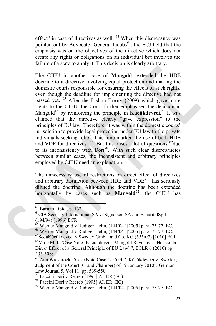effect" in case of directives as well.  $63$  When this discrepancy was pointed out by Advocate- General Jacobs<sup>[64](#page-22-1)</sup>, the ECJ held that the emphasis was on the objectives of the directive which does not create any rights or obligations on an individual but involves the failure of a state to apply it. This decision is clearly arbitrary.

The CJEU in another case of **Mangold**, extended the HDE doctrine to a directive involving equal protection and making the domestic courts responsible for ensuring the effects of such rights, even though the deadline for implementing the directive had not passed yet. <sup>[65](#page-22-2)</sup> After the Lisbon Treaty (2009) which gave more rights to the CJEU, the Court further emphasised the decision in Mangold<sup>[66](#page-22-3)</sup> by reinforcing the principle in **Kücükdeveci.**<sup>[67](#page-22-4)</sup> It was claimed that the directive clearly "gave expression" to the principles of EU law. Therefore, it was within the domestic courts' jurisdiction to provide legal protection under EU law to the private individuals seeking relief. This time marked the use of both HDE and VDE for directives.  $^{68}$  $^{68}$  $^{68}$ . But this raises a lot of questions  $^{69}$  due to its inconsistency with  $Dori^{70}$  $Dori^{70}$  $Dori^{70}$ . With such clear discrepancies between similar cases, the inconsistent and arbitrary principles employed by CJEU need an explanation.

The unnecessary use of restrictions on direct effect of directives and arbitrary distinction between HDE and  $VDE<sup>71</sup>$  has seriously diluted the doctrine. Although the doctrine has been extended horizontally by cases such as **Mangold**<sup>[72](#page-22-9)</sup>, the CJEU has

<span id="page-22-1"></span><span id="page-22-0"></span> $<sup>63</sup>$  Barnard, ibid., p. 132.  $<sup>64</sup>$ CIA Security International SA v. Signalson SA and SecuritelSprl</sup></sup> (194/94) [1996] ECR<br><sup>65</sup> Werner Mangold v Rudiger Helm, (144/04) [2005] para. 75-77. ECJ

<span id="page-22-5"></span><span id="page-22-4"></span><span id="page-22-3"></span><span id="page-22-2"></span><sup>&</sup>lt;sup>66</sup> Werner Mangold v Rudiger Helm,  $(144/04)$  [2005] para. 75-77. ECJ<br><sup>67</sup>SedaKücükdeveci v Swedex GmbH and Co, KG (555/07) [2010] ECJ<br><sup>68</sup>M de Mol, "Case Note 'Kücükdeveci: Mangold Revisited – Horizontal Direct Effect of a General Principle of EU Law' ", ECLR 6 (2010) pp 293-308;<br><sup>69</sup> Ann Wiesbrock, "Case Note Case C-555/07, Kücükdeveci v. Swedex,

<span id="page-22-6"></span>Judgment of the Court (Grand Chamber) of 19 January 2010", German Law Journal 5, Vol 11, pp. 539-550.<br><sup>70</sup> Faccini Dori v Recreb [1995] All ER (EC)<br><sup>71</sup> Faccini Dori v Recreb [1995] All ER (EC)<br><sup>72</sup> Werner Mangold v Rudiger Helm, (144/04 )[2005] para. 75-77. ECJ

<span id="page-22-8"></span><span id="page-22-7"></span>

<span id="page-22-9"></span>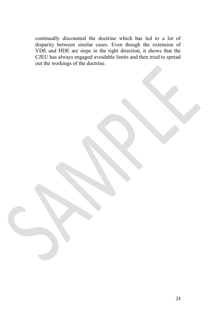continually discounted the doctrine which has led to a lot of disparity between similar cases. Even though the extension of VDE and HDE are steps in the right direction, it shows that the CJEU has always engaged avoidable limits and then tried to spread out the workings of the doctrine.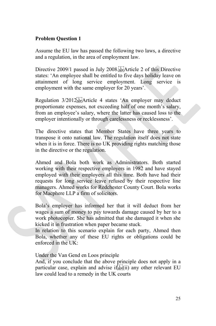#### **Problem Question 1**

Assume the EU law has passed the following two laws, a directive and a regulation, in the area of employment law.

Directive 2009/1 passed in July 2008.<sup>[17]</sup> Article 2 of this Directive states: 'An employee shall be entitled to five days holiday leave on attainment of long service employment. Long service is employment with the same employer for 20 years'.

Regulation 3/2012 Article 4 states 'An employer may deduct proportionate expenses, not exceeding half of one month's salary, from an employee's salary, where the latter has caused loss to the employer intentionally or through carelessness or recklessness'.

The directive states that Member States have three years to transpose it onto national law. The regulation itself does not state when it is in force. There is no UK providing rights matching those in the directive or the regulation.

Ahmed and Bola both work as Administrators. Both started working with their respective employers in 1982 and have stayed employed with their employers all this time. Both have had their requests for long service leave refused by their respective line managers. Ahmed works for Redchester County Court. Bola works for Macphere LLP a firm of solicitors.

Bola's employer has informed her that it will deduct from her wages a sum of money to pay towards damage caused by her to a work photocopier. She has admitted that she damaged it when she kicked it in frustration when paper became stuck.

In relation to this scenario explain for each party, Ahmed then Bola, whether any of these EU rights or obligations could be enforced in the UK:

Under the Van Gend en Loos principle

And, if you conclude that the above principle does not apply in a particular case, explain and advise  $if_{\text{step}}^L(i)$  any other relevant EU law could lead to a remedy in the UK courts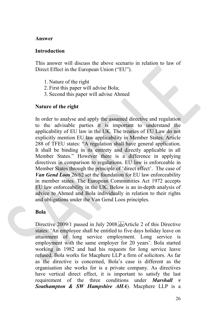#### **Answer**

#### **Introduction**

This answer will discuss the above scenario in relation to law of Direct Effect in the European Union ("EU").

- 1. Nature of the right
- 2. First this paper will advise Bola;
- 3. Second this paper will advise Ahmed

#### **Nature of the right**

In order to analyse and apply the assumed directive and regulation to the advisable parties it is important to understand the applicability of EU law in the UK. The treaties of EU Law do not explicitly mention EU law applicability in Member States. Article 288 of TFEU states: "A regulation shall have general application. It shall be binding in its entirety and directly applicable in all Member States." However there is a difference in applying directives in comparison to regulations. EU law is enforceable in Member States through the principle of 'direct effect'. The case of *Van Gend Loos* 26/62 set the foundation for EU law enforceability in member states. The European Communities Act 1972 accepts EU law enforceability in the UK. Below is an in-depth analysis of advice to Ahmed and Bola individually in relation to their rights and obligations under the Van Gend Loos principles.

#### **Bola**

Directive 2009/1 passed in July 2008. EPArticle 2 of this Directive states: 'An employee shall be entitled to five days holiday leave on attainment of long service employment. Long service is employment with the same employer for 20 years'. Bola started working in 1982 and had his requests for long service leave refused. Bola works for Macphere LLP a firm of solicitors. As far as the directive is concerned, Bola's case is different as the organisation she works for is a private company. As directives have vertical direct effect, it is important to satisfy the last requirement of the three conditions under *Marshall v Southampton & SW Hampshire AHA*). Macphere LLP is a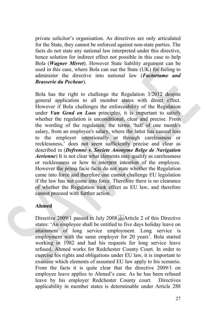private solicitor's organisation. As directives are only articulated for the State, they cannot be enforced against non-state parties. The facts do not state any national law interpreted under this directive, hence solution for indirect effect not possible in this case to help Bola (*Wagner Mirret*). However State liability argument can be used in this case, where Bola can sue the State (UK) for failing to administer the directive into national law (*Factortame and Brasserie du Pecheur*).

Bola has the right to challenge the Regulation 3/2012 despite general application to all member states with direct effect. However if Bola challenges the enforceability of the Regulation under *Van Gend en Loos* principles, it is important to satisfy whether the regulation is unconditional, clear and precise. From the wording of the regulation, the terms 'half of one month's salary, from an employee's salary, where the latter has caused loss to the employer intentionally or through carelessness or recklessness,' does not seem sufficiently precise and clear as described in (*Defrenne v. Societe Anonyme Belge de Navigation Aerienne*) It is not clear what elements may qualify as carelessness or recklessness or how to interpret intention of the employee. However the prima facie facts do not state whether the Regulation came into force and therefore one cannot challenge EU legislation if the law has not come into force. Therefore there is no clearance of whether the Regulation took effect as EU law, and therefore cannot proceed with further action.

#### **Ahmed**

Directive 2009/1 passed in July 2008. Franciscle 2 of this Directive states: 'An employee shall be entitled to five days holiday leave on attainment of long service employment. Long service is employment with the same employer for 20 years'. Bola started working in 1982 and had his requests for long service leave refused. Ahmed works for Redchester County Court. In order to exercise his rights and obligations under EU law, it is important to examine which elements of assumed EU law apply to his scenario. From the facts it is quite clear that the directive 2009/1 on employee leave applies to Ahmed's case. As he has been refused leave by his employer Redchester County court. Directives applicability in member states is determinable under Article 288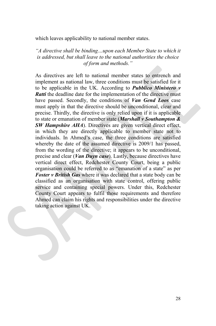which leaves applicability to national member states.

*"A directive shall be binding…upon each Member State to which it is addressed, but shall leave to the national authorities the choice of form and methods."*

As directives are left to national member states to entrench and implement as national law, three conditions must be satisfied for it to be applicable in the UK. According to *Pubblico Ministero v Ratti* the deadline date for the implementation of the directive must have passed. Secondly, the conditions of *Van Gend Loos* case must apply in that the directive should be unconditional, clear and precise. Thirdly, the directive is only relied upon if it is applicable to state or emanation of member state (*Marshall v Southampton & SW Hampshire AHA*). Directives are given vertical direct effect, in which they are directly applicable to member state not to individuals. In Ahmed's case, the three conditions are satisfied whereby the date of the assumed directive is 2009/1 has passed, from the wording of the directive; it appears to be unconditional, precise and clear (*Van Duyn case*). Lastly, because directives have vertical direct effect, Redchester County Court, being a public organisation could be referred to as "emanation of a state" as per *Foster v British Gas* where it was declared that a state body can be classified as an organisation with state control, offering public service and containing special powers. Under this, Redchester County Court appears to fulfil those requirements and therefore Ahmed can claim his rights and responsibilities under the directive taking action against UK.